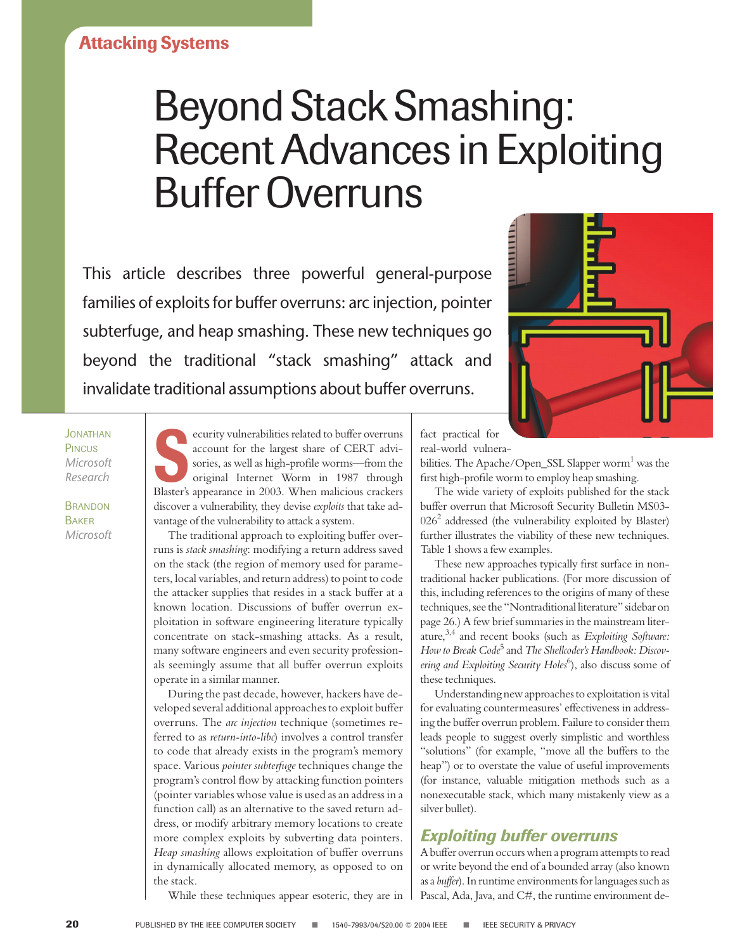# **Attacking Systems**

# Beyond Stack Smashing: Recent Advances in Exploiting Buffer Overruns

This article describes three powerful general-purpose families of exploits for buffer overruns: arc injection, pointer subterfuge, and heap smashing. These new techniques go beyond the traditional "stack smashing" attack and invalidate traditional assumptions about buffer overruns.



JONATHAN **PINCUS** *Microsoft Research*

**BRANDON BAKER** *Microsoft*  Ecurity vulnerabilities related to buffer overruns<br>account for the largest share of CERT advisories, as well as high-profile worms—from the<br>original Internet Worm in 1987 through<br>Rlaster's appearance in 2003. When maliciou account for the largest share of CERT advisories, as well as high-profile worms—from the original Internet Worm in 1987 through Blaster's appearance in 2003. When malicious crackers discover a vulnerability, they devise *exploits* that take advantage of the vulnerability to attack a system.

The traditional approach to exploiting buffer overruns is *stack smashing*: modifying a return address saved on the stack (the region of memory used for parameters, local variables, and return address) to point to code the attacker supplies that resides in a stack buffer at a known location. Discussions of buffer overrun exploitation in software engineering literature typically concentrate on stack-smashing attacks. As a result, many software engineers and even security professionals seemingly assume that all buffer overrun exploits operate in a similar manner.

During the past decade, however, hackers have developed several additional approaches to exploit buffer overruns. The *arc injection* technique (sometimes referred to as *return-into-libc*) involves a control transfer to code that already exists in the program's memory space. Various *pointer subterfuge* techniques change the program's control flow by attacking function pointers (pointer variables whose value is used as an address in a function call) as an alternative to the saved return address, or modify arbitrary memory locations to create more complex exploits by subverting data pointers. *Heap smashing* allows exploitation of buffer overruns in dynamically allocated memory, as opposed to on the stack.

fact practical for real-world vulnera-

bilities. The Apache/Open\_SSL Slapper worm<sup>1</sup> was the first high-profile worm to employ heap smashing.

The wide variety of exploits published for the stack buffer overrun that Microsoft Security Bulletin MS03-  $026<sup>2</sup>$  addressed (the vulnerability exploited by Blaster) further illustrates the viability of these new techniques. Table 1 shows a few examples.

These new approaches typically first surface in nontraditional hacker publications. (For more discussion of this, including references to the origins of many of these techniques, see the "Nontraditional literature" sidebar on page 26.) A few brief summaries in the mainstream literature,3,4 and recent books (such as *Exploiting Software: How to Break Code*<sup>5</sup> and *The Shellcoder's Handbook: Discov*ering and Exploiting Security Holes<sup>6</sup>), also discuss some of these techniques.

Understanding new approaches to exploitation is vital for evaluating countermeasures' effectiveness in addressing the buffer overrun problem. Failure to consider them leads people to suggest overly simplistic and worthless "solutions" (for example, "move all the buffers to the heap") or to overstate the value of useful improvements (for instance, valuable mitigation methods such as a nonexecutable stack, which many mistakenly view as a silver bullet).

# *Exploiting buffer overruns*

A buffer overrun occurs when a program attempts to read or write beyond the end of a bounded array (also known as a *buffer*). In runtime environments for languages such as Pascal, Ada, Java, and C#, the runtime environment de-

While these techniques appear esoteric, they are in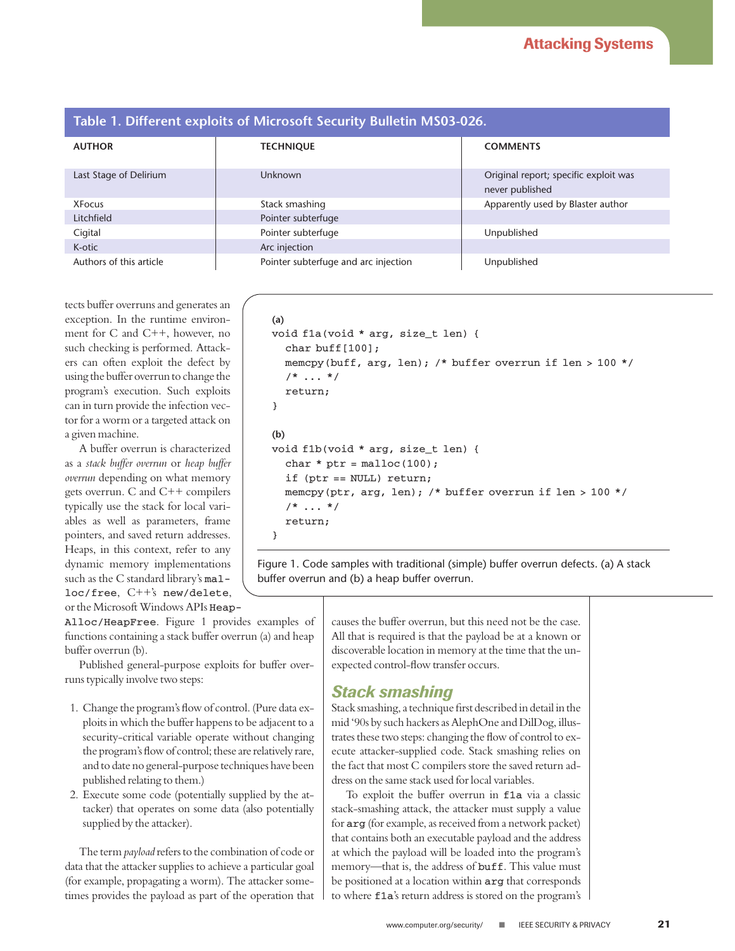| Table T. Different exploits of Microsoft Security Bulletin MS03-026. |                                      |                                                          |
|----------------------------------------------------------------------|--------------------------------------|----------------------------------------------------------|
| <b>AUTHOR</b>                                                        | <b>TECHNIQUE</b>                     | <b>COMMENTS</b>                                          |
| Last Stage of Delirium                                               | Unknown                              | Original report; specific exploit was<br>never published |
| <b>XFocus</b>                                                        | Stack smashing                       | Apparently used by Blaster author                        |
| Litchfield                                                           | Pointer subterfuge                   |                                                          |
| Cigital                                                              | Pointer subterfuge                   | Unpublished                                              |
| K-otic                                                               | Arc injection                        |                                                          |
| Authors of this article                                              | Pointer subterfuge and arc injection | Unpublished                                              |

**Table 1. Different exploits of Microsoft Security Bulletin MS03-026.**

tects buffer overruns and generates an exception. In the runtime environment for C and C++, however, no such checking is performed. Attackers can often exploit the defect by using the buffer overrun to change the program's execution. Such exploits can in turn provide the infection vector for a worm or a targeted attack on a given machine.

A buffer overrun is characterized as a *stack buffer overrun* or *heap buffer overrun* depending on what memory gets overrun. C and C++ compilers typically use the stack for local variables as well as parameters, frame pointers, and saved return addresses. Heaps, in this context, refer to any dynamic memory implementations such as the C standard library's malloc/free, C++'s new/delete, or the Microsoft Windows APIs Heap**(a)**

```
void f1a(void * arg, size_t len) {
  char buff[100];
 memcpy(buff, arg, len); /* buffer overrun if len > 100 */
  /* ... */
  return;
}
(b)
void f1b(void * arg, size_t len) {
  char * ptr = malloc(100);
  if (ptr == NULL) return;
 memcpy(ptr, arg, len); /* buffer overrun if len > 100 */
  /* ... */
  return;
}
```
Figure 1. Code samples with traditional (simple) buffer overrun defects. (a) A stack buffer overrun and (b) a heap buffer overrun.

Alloc/HeapFree. Figure 1 provides examples of functions containing a stack buffer overrun (a) and heap buffer overrun (b).

Published general-purpose exploits for buffer overruns typically involve two steps:

- 1. Change the program's flow of control. (Pure data exploits in which the buffer happens to be adjacent to a security-critical variable operate without changing the program's flow of control; these are relatively rare, and to date no general-purpose techniques have been published relating to them.)
- 2. Execute some code (potentially supplied by the attacker) that operates on some data (also potentially supplied by the attacker).

The term *payload* refers to the combination of code or data that the attacker supplies to achieve a particular goal (for example, propagating a worm). The attacker sometimes provides the payload as part of the operation that

causes the buffer overrun, but this need not be the case. All that is required is that the payload be at a known or discoverable location in memory at the time that the unexpected control-flow transfer occurs.

# *Stack smashing*

Stack smashing, a technique first described in detail in the mid '90s by such hackers as AlephOne and DilDog, illustrates these two steps: changing the flow of control to execute attacker-supplied code. Stack smashing relies on the fact that most C compilers store the saved return address on the same stack used for local variables.

To exploit the buffer overrun in f1a via a classic stack-smashing attack, the attacker must supply a value for arg (for example, as received from a network packet) that contains both an executable payload and the address at which the payload will be loaded into the program's memory—that is, the address of buff. This value must be positioned at a location within arg that corresponds to where f1a's return address is stored on the program's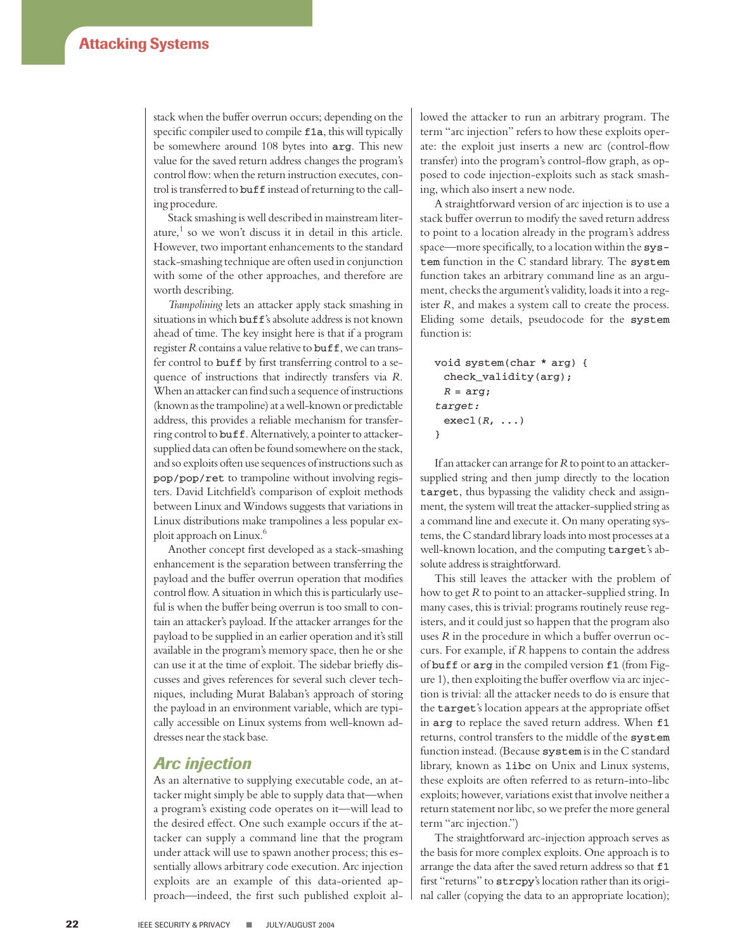stack when the buffer overrun occurs; depending on the specific compiler used to compile  $f1a$ , this will typically be somewhere around 108 bytes into arg. This new value for the saved return address changes the program's control flow: when the return instruction executes, control is transferred to buff instead of returning to the calling procedure.

Stack smashing is well described in mainstream literature, $<sup>1</sup>$  so we won't discuss it in detail in this article.</sup> However, two important enhancements to the standard stack-smashing technique are often used in conjunction with some of the other approaches, and therefore are worth describing.

*Trampolining* lets an attacker apply stack smashing in situations in which buff's absolute address is not known ahead of time. The key insight here is that if a program register *R* contains a value relative to **buff**, we can transfer control to buff by first transferring control to a sequence of instructions that indirectly transfers via *R*. When an attacker can find such a sequence of instructions (known as the trampoline) at a well-known or predictable address, this provides a reliable mechanism for transferring control to buff. Alternatively, a pointer to attackersupplied data can often be found somewhere on the stack, and so exploits often use sequences of instructions such as pop/pop/ret to trampoline without involving registers. David Litchfield's comparison of exploit methods between Linux and Windows suggests that variations in Linux distributions make trampolines a less popular exploit approach on Linux.<sup>6</sup>

Another concept first developed as a stack-smashing enhancement is the separation between transferring the payload and the buffer overrun operation that modifies control flow. A situation in which this is particularly useful is when the buffer being overrun is too small to contain an attacker's payload. If the attacker arranges for the payload to be supplied in an earlier operation and it's still available in the program's memory space, then he or she can use it at the time of exploit. The sidebar briefly discusses and gives references for several such clever techniques, including Murat Balaban's approach of storing the payload in an environment variable, which are typically accessible on Linux systems from well-known addresses near the stack base.

#### *Arc injection*

As an alternative to supplying executable code, an attacker might simply be able to supply data that—when a program's existing code operates on it—will lead to the desired effect. One such example occurs if the attacker can supply a command line that the program under attack will use to spawn another process; this essentially allows arbitrary code execution. Arc injection exploits are an example of this data-oriented approach—indeed, the first such published exploit allowed the attacker to run an arbitrary program. The term "arc injection" refers to how these exploits operate: the exploit just inserts a new arc (control-flow transfer) into the program's control-flow graph, as opposed to code injection-exploits such as stack smashing, which also insert a new node.

A straightforward version of arc injection is to use a stack buffer overrun to modify the saved return address to point to a location already in the program's address space—more specifically, to a location within the system function in the C standard library. The system function takes an arbitrary command line as an argument, checks the argument's validity, loads it into a register *R*, and makes a system call to create the process. Eliding some details, pseudocode for the system function is:

```
void system(char * arg) {
 check_validity(arg);
 R = \arg jtarget: 
 execl(R, ...)
}
```
If an attacker can arrange for *R*to point to an attackersupplied string and then jump directly to the location target, thus bypassing the validity check and assignment, the system will treat the attacker-supplied string as a command line and execute it. On many operating systems, the C standard library loads into most processes at a well-known location, and the computing target's absolute address is straightforward.

This still leaves the attacker with the problem of how to get *R* to point to an attacker-supplied string. In many cases, this is trivial: programs routinely reuse registers, and it could just so happen that the program also uses *R* in the procedure in which a buffer overrun occurs. For example, if *R* happens to contain the address of buff or arg in the compiled version f1 (from Figure 1), then exploiting the buffer overflow via arc injection is trivial: all the attacker needs to do is ensure that the target's location appears at the appropriate offset in arg to replace the saved return address. When f1 returns, control transfers to the middle of the system function instead. (Because system is in the C standard library, known as libc on Unix and Linux systems, these exploits are often referred to as return-into-libc exploits; however, variations exist that involve neither a return statement nor libc, so we prefer the more general term "arc injection.")

The straightforward arc-injection approach serves as the basis for more complex exploits. One approach is to arrange the data after the saved return address so that f1 first "returns" to strcpy's location rather than its original caller (copying the data to an appropriate location);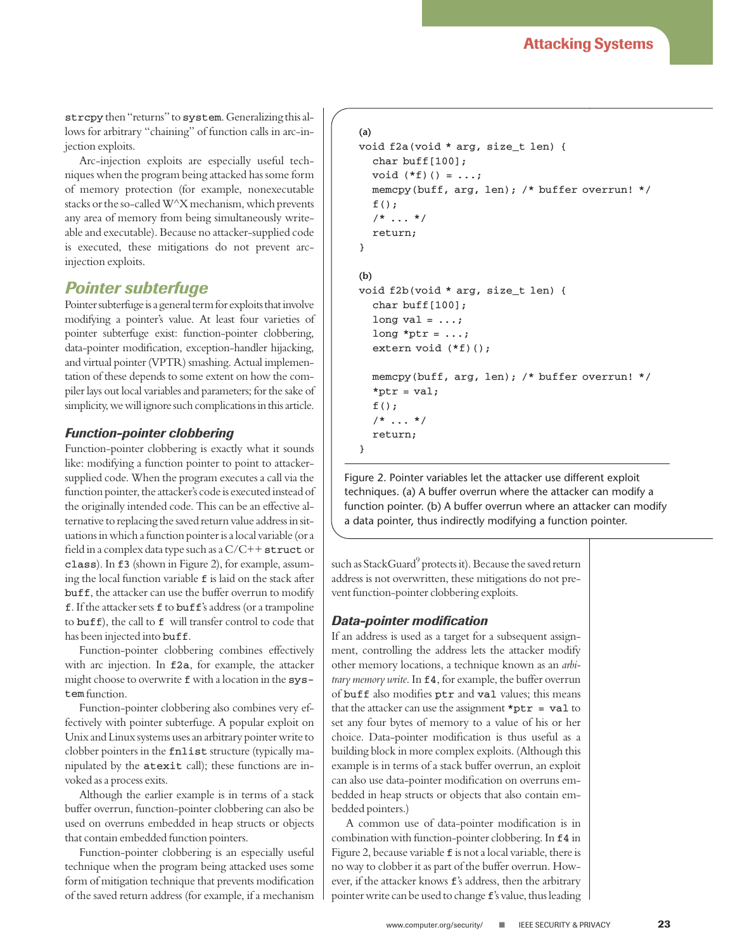strcpy then "returns" to system. Generalizing this allows for arbitrary "chaining" of function calls in arc-injection exploits.

Arc-injection exploits are especially useful techniques when the program being attacked has some form of memory protection (for example, nonexecutable stacks or the so-called W^X mechanism, which prevents any area of memory from being simultaneously writeable and executable). Because no attacker-supplied code is executed, these mitigations do not prevent arcinjection exploits.

# *Pointer subterfuge*

Pointer subterfuge is a general term for exploits that involve modifying a pointer's value. At least four varieties of pointer subterfuge exist: function-pointer clobbering, data-pointer modification, exception-handler hijacking, and virtual pointer (VPTR) smashing. Actual implementation of these depends to some extent on how the compiler lays out local variables and parameters; for the sake of simplicity, we will ignore such complications in this article.

#### *Function-pointer clobbering*

Function-pointer clobbering is exactly what it sounds like: modifying a function pointer to point to attackersupplied code. When the program executes a call via the function pointer, the attacker's code is executed instead of the originally intended code. This can be an effective alternative to replacing the saved return value address in situations in which a function pointer is a local variable (or a field in a complex data type such as a C/C++ struct or class). In f3 (shown in Figure 2), for example, assuming the local function variable f is laid on the stack after buff, the attacker can use the buffer overrun to modify f. If the attacker sets f to buff's address (or a trampoline to buff), the call to f will transfer control to code that has been injected into buff.

Function-pointer clobbering combines effectively with arc injection. In f2a, for example, the attacker might choose to overwrite f with a location in the system function.

Function-pointer clobbering also combines very effectively with pointer subterfuge. A popular exploit on Unix and Linux systems uses an arbitrary pointer write to clobber pointers in the fnlist structure (typically manipulated by the atexit call); these functions are invoked as a process exits.

Although the earlier example is in terms of a stack buffer overrun, function-pointer clobbering can also be used on overruns embedded in heap structs or objects that contain embedded function pointers.

Function-pointer clobbering is an especially useful technique when the program being attacked uses some form of mitigation technique that prevents modification of the saved return address (for example, if a mechanism

#### **(a)**

```
void f2a(void * arg, size_t len) {
  char buff[100];
  void (*f)( ) = ...;memcpy(buff, arg, len); /* buffer overrun! */
  f():
  /* ... */
  return;
}
```
#### **(b)**

```
void f2b(void * arg, size_t len) {
  char buff[100];
  long val = \dots;
  long *ptr = \dots;
  extern void (*f)();
  memcpy(buff, arg, len); /* buffer overrun! */
  *ptr = val;f():
  /* ... */
  return;
}
```
Figure 2. Pointer variables let the attacker use different exploit techniques. (a) A buffer overrun where the attacker can modify a function pointer. (b) A buffer overrun where an attacker can modify a data pointer, thus indirectly modifying a function pointer.

such as StackGuard<sup>9</sup> protects it). Because the saved return address is not overwritten, these mitigations do not prevent function-pointer clobbering exploits.

#### *Data-pointer modification*

If an address is used as a target for a subsequent assignment, controlling the address lets the attacker modify other memory locations, a technique known as an *arbitrary memory write*. In  $E4$ , for example, the buffer overrun of buff also modifies ptr and val values; this means that the attacker can use the assignment \*ptr =  $val$  to set any four bytes of memory to a value of his or her choice. Data-pointer modification is thus useful as a building block in more complex exploits. (Although this example is in terms of a stack buffer overrun, an exploit can also use data-pointer modification on overruns embedded in heap structs or objects that also contain embedded pointers.)

A common use of data-pointer modification is in combination with function-pointer clobbering. In f4 in Figure 2, because variable f is not a local variable, there is no way to clobber it as part of the buffer overrun. However, if the attacker knows f's address, then the arbitrary pointer write can be used to change f's value, thus leading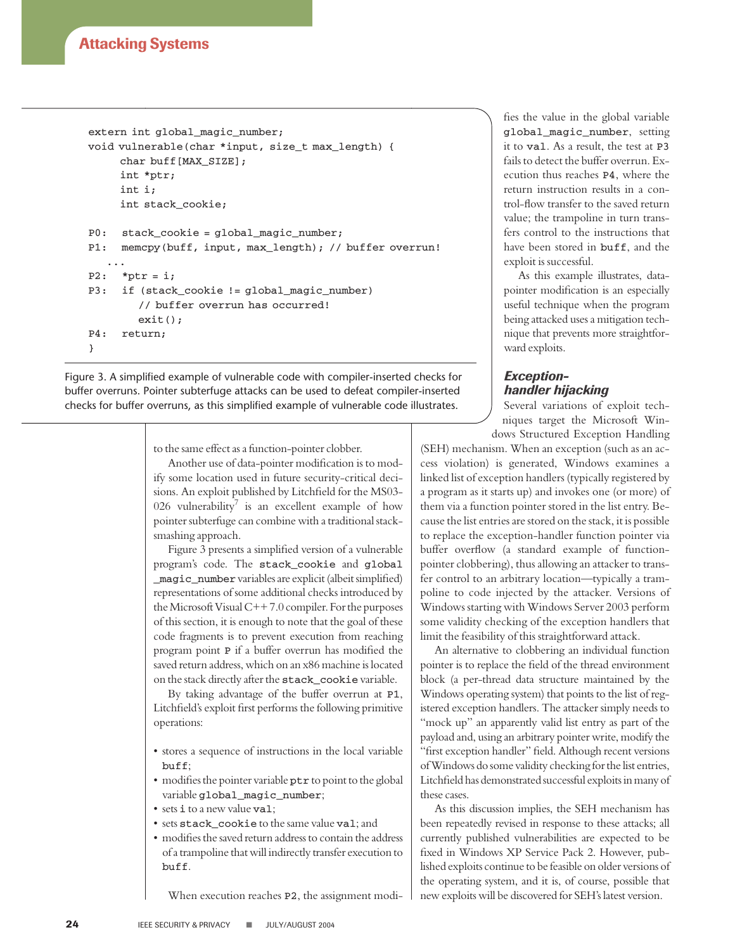```
extern int global_magic_number;
void vulnerable(char *input, size_t max_length) {
     char buff[MAX_SIZE];
     int *ptr;
     int i;
     int stack_cookie;
P0: stack_cookie = global_magic_number;
P1: memcpy(buff, input, max length); // buffer overrun!
   ...
P2: *ptr = i;P3: if (stack_cookie != global_magic_number)
        // buffer overrun has occurred!
        exit();
P4: return;
}
```
Figure 3. A simplified example of vulnerable code with compiler-inserted checks for buffer overruns. Pointer subterfuge attacks can be used to defeat compiler-inserted checks for buffer overruns, as this simplified example of vulnerable code illustrates.

to the same effect as a function-pointer clobber.

Another use of data-pointer modification is to modify some location used in future security-critical decisions. An exploit published by Litchfield for the MS03- 026 vulnerability<sup>7</sup> is an excellent example of how pointer subterfuge can combine with a traditional stacksmashing approach.

Figure 3 presents a simplified version of a vulnerable program's code. The stack\_cookie and global \_magic\_number variables are explicit (albeit simplified) representations of some additional checks introduced by the Microsoft Visual C++ 7.0 compiler. For the purposes of this section, it is enough to note that the goal of these code fragments is to prevent execution from reaching program point P if a buffer overrun has modified the saved return address, which on an x86 machine is located on the stack directly after the stack\_cookie variable.

By taking advantage of the buffer overrun at P1, Litchfield's exploit first performs the following primitive operations:

- stores a sequence of instructions in the local variable buff;
- modifies the pointer variable ptr to point to the global variable global\_magic\_number;
- sets i to a new value val:
- sets stack\_cookie to the same value val; and
- modifies the saved return address to contain the address of a trampoline that will indirectly transfer execution to buff.

When execution reaches P2, the assignment modi-

fies the value in the global variable global\_magic\_number, setting it to val. As a result, the test at P3 fails to detect the buffer overrun. Execution thus reaches P4, where the return instruction results in a control-flow transfer to the saved return value; the trampoline in turn transfers control to the instructions that have been stored in buff, and the exploit is successful.

As this example illustrates, datapointer modification is an especially useful technique when the program being attacked uses a mitigation technique that prevents more straightforward exploits.

#### *Exceptionhandler hijacking*

Several variations of exploit techniques target the Microsoft Windows Structured Exception Handling

(SEH) mechanism. When an exception (such as an access violation) is generated, Windows examines a linked list of exception handlers (typically registered by a program as it starts up) and invokes one (or more) of them via a function pointer stored in the list entry. Because the list entries are stored on the stack, it is possible to replace the exception-handler function pointer via buffer overflow (a standard example of functionpointer clobbering), thus allowing an attacker to transfer control to an arbitrary location—typically a trampoline to code injected by the attacker. Versions of Windows starting with Windows Server 2003 perform some validity checking of the exception handlers that limit the feasibility of this straightforward attack.

An alternative to clobbering an individual function pointer is to replace the field of the thread environment block (a per-thread data structure maintained by the Windows operating system) that points to the list of registered exception handlers. The attacker simply needs to "mock up" an apparently valid list entry as part of the payload and, using an arbitrary pointer write, modify the "first exception handler" field. Although recent versions of Windows do some validity checking for the list entries, Litchfield has demonstrated successful exploits in many of these cases.

As this discussion implies, the SEH mechanism has been repeatedly revised in response to these attacks; all currently published vulnerabilities are expected to be fixed in Windows XP Service Pack 2. However, published exploits continue to be feasible on older versions of the operating system, and it is, of course, possible that new exploits will be discovered for SEH's latest version.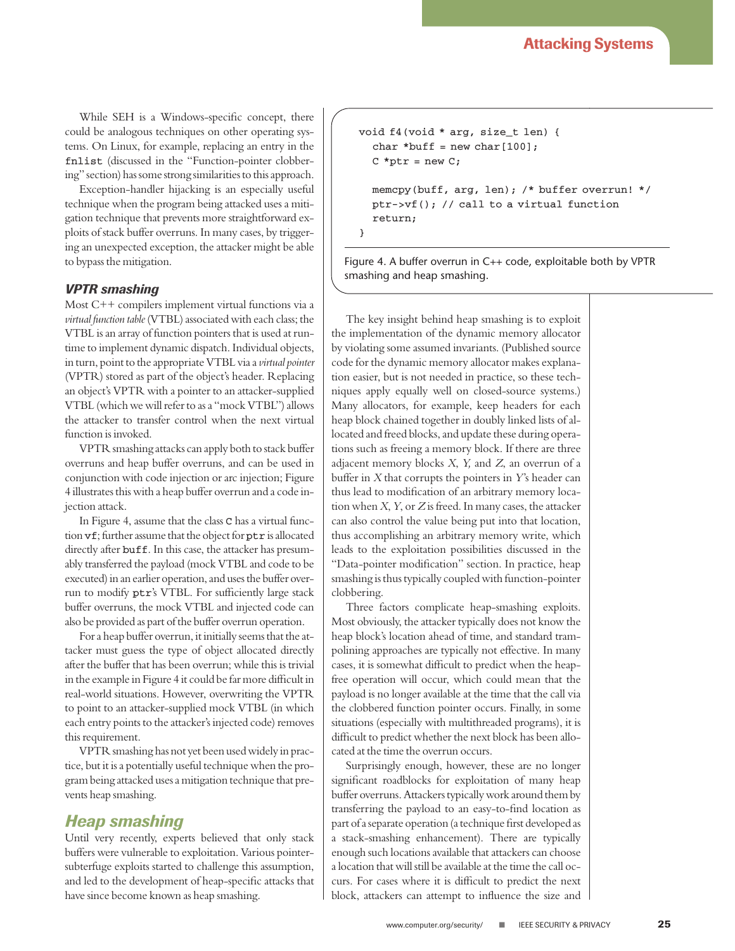While SEH is a Windows-specific concept, there could be analogous techniques on other operating systems. On Linux, for example, replacing an entry in the fnlist (discussed in the "Function-pointer clobbering" section) has some strong similarities to this approach.

Exception-handler hijacking is an especially useful technique when the program being attacked uses a mitigation technique that prevents more straightforward exploits of stack buffer overruns. In many cases, by triggering an unexpected exception, the attacker might be able to bypass the mitigation.

#### *VPTR smashing*

Most C++ compilers implement virtual functions via a *virtual function table*(VTBL) associated with each class; the VTBL is an array of function pointers that is used at runtime to implement dynamic dispatch. Individual objects, in turn, point to the appropriate VTBL via a *virtual pointer* (VPTR) stored as part of the object's header. Replacing an object's VPTR with a pointer to an attacker-supplied VTBL (which we will refer to as a "mock VTBL") allows the attacker to transfer control when the next virtual function is invoked.

VPTR smashing attacks can apply both to stack buffer overruns and heap buffer overruns, and can be used in conjunction with code injection or arc injection; Figure 4 illustrates this with a heap buffer overrun and a code injection attack.

In Figure 4, assume that the class C has a virtual function vf; further assume that the object for ptr is allocated directly after buff. In this case, the attacker has presumably transferred the payload (mock VTBL and code to be executed) in an earlier operation, and uses the buffer overrun to modify ptr's VTBL. For sufficiently large stack buffer overruns, the mock VTBL and injected code can also be provided as part of the buffer overrun operation.

For a heap buffer overrun, it initially seems that the attacker must guess the type of object allocated directly after the buffer that has been overrun; while this is trivial in the example in Figure 4 it could be far more difficult in real-world situations. However, overwriting the VPTR to point to an attacker-supplied mock VTBL (in which each entry points to the attacker's injected code) removes this requirement.

VPTR smashing has not yet been used widely in practice, but it is a potentially useful technique when the program being attacked uses a mitigation technique that prevents heap smashing.

#### *Heap smashing*

Until very recently, experts believed that only stack buffers were vulnerable to exploitation. Various pointersubterfuge exploits started to challenge this assumption, and led to the development of heap-specific attacks that have since become known as heap smashing.

```
void f4(void * arg, size_t len) {
  char *buff = new char[100];
  C *ptr = new C;memcpy(buff, arg, len); /* buffer overrun! */
  ptr->vf(); // call to a virtual function
  return;
}
```
Figure 4. A buffer overrun in C++ code, exploitable both by VPTR smashing and heap smashing.

The key insight behind heap smashing is to exploit the implementation of the dynamic memory allocator by violating some assumed invariants. (Published source code for the dynamic memory allocator makes explanation easier, but is not needed in practice, so these techniques apply equally well on closed-source systems.) Many allocators, for example, keep headers for each heap block chained together in doubly linked lists of allocated and freed blocks, and update these during operations such as freeing a memory block. If there are three adjacent memory blocks *X*, *Y,* and *Z*, an overrun of a buffer in *X* that corrupts the pointers in *Y*'s header can thus lead to modification of an arbitrary memory location when *X*, *Y*, or *Z*is freed. In many cases, the attacker can also control the value being put into that location, thus accomplishing an arbitrary memory write, which leads to the exploitation possibilities discussed in the "Data-pointer modification" section. In practice, heap smashing is thus typically coupled with function-pointer clobbering.

Three factors complicate heap-smashing exploits. Most obviously, the attacker typically does not know the heap block's location ahead of time, and standard trampolining approaches are typically not effective. In many cases, it is somewhat difficult to predict when the heapfree operation will occur, which could mean that the payload is no longer available at the time that the call via the clobbered function pointer occurs. Finally, in some situations (especially with multithreaded programs), it is difficult to predict whether the next block has been allocated at the time the overrun occurs.

Surprisingly enough, however, these are no longer significant roadblocks for exploitation of many heap buffer overruns. Attackers typically work around them by transferring the payload to an easy-to-find location as part of a separate operation (a technique first developed as a stack-smashing enhancement). There are typically enough such locations available that attackers can choose a location that will still be available at the time the call occurs. For cases where it is difficult to predict the next block, attackers can attempt to influence the size and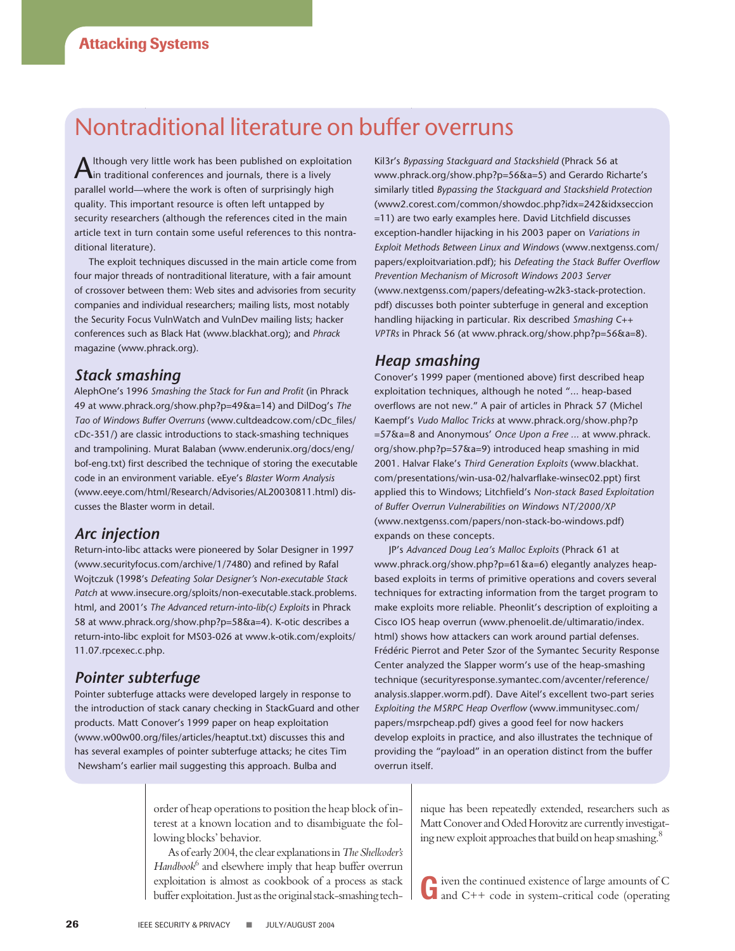# Nontraditional literature on buffer overruns

 $A$  though very little work has been published on exploitation<br>in traditional conferences and journals, there is a lively parallel world—where the work is often of surprisingly high quality. This important resource is often left untapped by security researchers (although the references cited in the main article text in turn contain some useful references to this nontraditional literature).

The exploit techniques discussed in the main article come from four major threads of nontraditional literature, with a fair amount of crossover between them: Web sites and advisories from security companies and individual researchers; mailing lists, most notably the Security Focus VulnWatch and VulnDev mailing lists; hacker conferences such as Black Hat (www.blackhat.org); and *Phrack* magazine (www.phrack.org).

### *Stack smashing*

AlephOne's 1996 *Smashing the Stack for Fun and Profit* (in Phrack 49 at www.phrack.org/show.php?p=49&a=14) and DilDog's *The Tao of Windows Buffer Overruns* (www.cultdeadcow.com/cDc\_files/ cDc-351/) are classic introductions to stack-smashing techniques and trampolining. Murat Balaban (www.enderunix.org/docs/eng/ bof-eng.txt) first described the technique of storing the executable code in an environment variable. eEye's *Blaster Worm Analysis* (www.eeye.com/html/Research/Advisories/AL20030811.html) discusses the Blaster worm in detail.

# *Arc injection*

Return-into-libc attacks were pioneered by Solar Designer in 1997 (www.securityfocus.com/archive/1/7480) and refined by Rafal Wojtczuk (1998's *Defeating Solar Designer's Non-executable Stack Patch* at www.insecure.org/sploits/non-executable.stack.problems. html, and 2001's *The Advanced return-into-lib(c) Exploits* in Phrack 58 at www.phrack.org/show.php?p=58&a=4). K-otic describes a return-into-libc exploit for MS03-026 at www.k-otik.com/exploits/ 11.07.rpcexec.c.php.

# *Pointer subterfuge*

Pointer subterfuge attacks were developed largely in response to the introduction of stack canary checking in StackGuard and other products. Matt Conover's 1999 paper on heap exploitation (www.w00w00.org/files/articles/heaptut.txt) discusses this and has several examples of pointer subterfuge attacks; he cites Tim Newsham's earlier mail suggesting this approach. Bulba and

Kil3r's *Bypassing Stackguard and Stackshield* (Phrack 56 at www.phrack.org/show.php?p=56&a=5) and Gerardo Richarte's similarly titled *Bypassing the Stackguard and Stackshield Protection* (www2.corest.com/common/showdoc.php?idx=242&idxseccion =11) are two early examples here. David Litchfield discusses exception-handler hijacking in his 2003 paper on *Variations in Exploit Methods Between Linux and Windows* (www.nextgenss.com/ papers/exploitvariation.pdf); his *Defeating the Stack Buffer Overflow Prevention Mechanism of Microsoft Windows 2003 Server* (www.nextgenss.com/papers/defeating-w2k3-stack-protection. pdf) discusses both pointer subterfuge in general and exception handling hijacking in particular. Rix described *Smashing C++ VPTRs* in Phrack 56 (at www.phrack.org/show.php?p=56&a=8).

# *Heap smashing*

Conover's 1999 paper (mentioned above) first described heap exploitation techniques, although he noted "... heap-based overflows are not new." A pair of articles in Phrack 57 (Michel Kaempf's *Vudo Malloc Tricks* at www.phrack.org/show.php?p =57&a=8 and Anonymous' *Once Upon a Free ...* at www.phrack. org/show.php?p=57&a=9) introduced heap smashing in mid 2001. Halvar Flake's *Third Generation Exploits* (www.blackhat. com/presentations/win-usa-02/halvarflake-winsec02.ppt) first applied this to Windows; Litchfield's *Non-stack Based Exploitation of Buffer Overrun Vulnerabilities on Windows NT/2000/XP* (www.nextgenss.com/papers/non-stack-bo-windows.pdf) expands on these concepts.

JP's *Advanced Doug Lea's Malloc Exploits* (Phrack 61 at www.phrack.org/show.php?p=61&a=6) elegantly analyzes heapbased exploits in terms of primitive operations and covers several techniques for extracting information from the target program to make exploits more reliable. Pheonlit's description of exploiting a Cisco IOS heap overrun (www.phenoelit.de/ultimaratio/index. html) shows how attackers can work around partial defenses. Frédéric Pierrot and Peter Szor of the Symantec Security Response Center analyzed the Slapper worm's use of the heap-smashing technique (securityresponse.symantec.com/avcenter/reference/ analysis.slapper.worm.pdf). Dave Aitel's excellent two-part series *Exploiting the MSRPC Heap Overflow* (www.immunitysec.com/ papers/msrpcheap.pdf) gives a good feel for now hackers develop exploits in practice, and also illustrates the technique of providing the "payload" in an operation distinct from the buffer overrun itself.

order of heap operations to position the heap block of interest at a known location and to disambiguate the following blocks' behavior.

As of early 2004, the clear explanations in *The Shellcoder's* Handbook<sup>6</sup> and elsewhere imply that heap buffer overrun exploitation is almost as cookbook of a process as stack buffer exploitation. Just as the original stack-smashing technique has been repeatedly extended, researchers such as Matt Conover and Oded Horovitz are currently investigating new exploit approaches that build on heap smashing.<sup>8</sup>

G iven the continued existence of large amounts of C and C++ code in system-critical code (operating